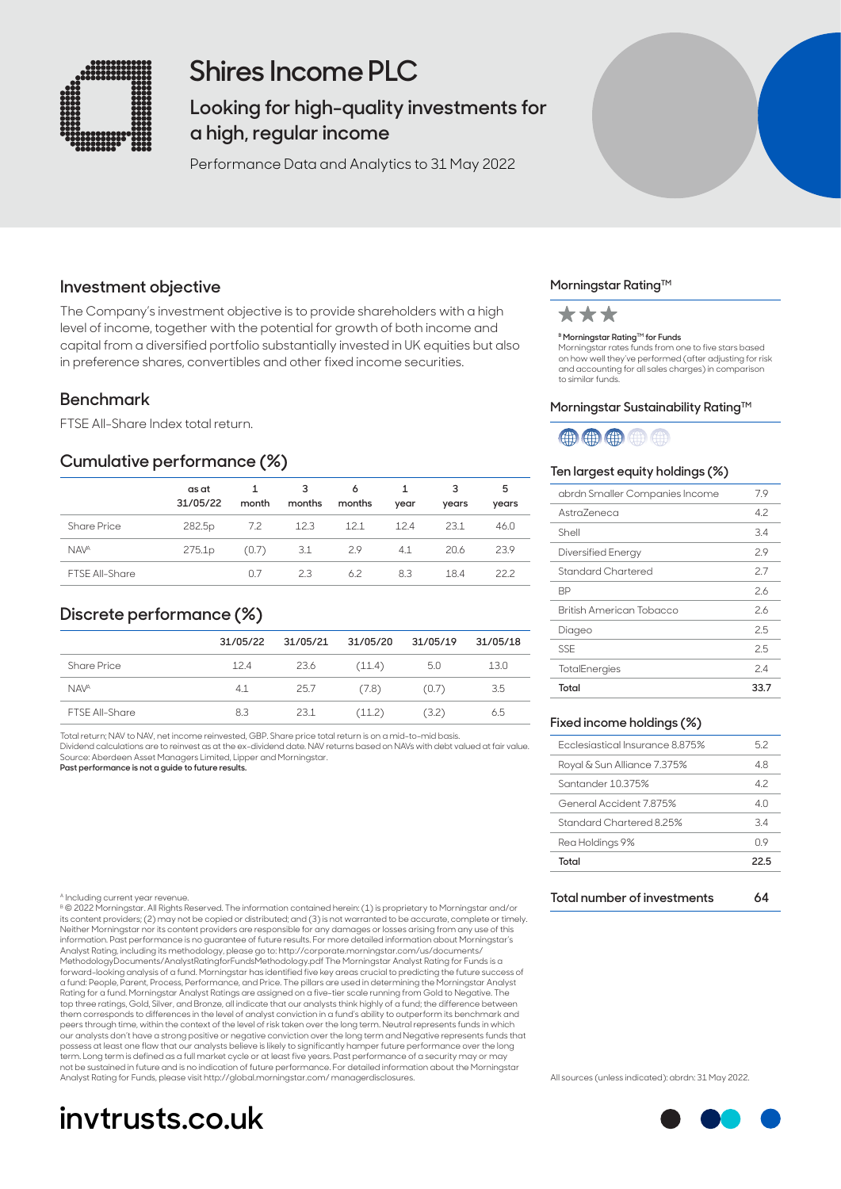

## **Shires Income PLC**

**Looking for high-quality investments for a high, regular income** 

Performance Data and Analytics to 31 May 2022

## **Investment objective**

The Company's investment objective is to provide shareholders with a high level of income, together with the potential for growth of both income and capital from a diversified portfolio substantially invested in UK equities but also in preference shares, convertibles and other fixed income securities.

### **Benchmark**

FTSE All-Share Index total return.

## **Cumulative performance (%)**

|                       | as at<br>31/05/22  | $\mathbf{1}$<br>month | -3<br>months | 6<br>months | $\mathbf{1}$<br>year | 3<br>years | 5<br>years |
|-----------------------|--------------------|-----------------------|--------------|-------------|----------------------|------------|------------|
| <b>Share Price</b>    | 282.5 <sub>p</sub> | 7.2                   | 12.3         | 12.1        | 12.4                 | 23.1       | 46.0       |
| <b>NAVA</b>           | 275.1 <sub>p</sub> | (0.7)                 | 3.1          | 2.9         | 4.1                  | 20.6       | 23.9       |
| <b>FTSE All-Share</b> |                    | በ 7                   | 23           | 62          | 8.3                  | 184        | 222        |

## **Discrete performance (%)**

|                        | 31/05/22 | 31/05/21 | 31/05/20 | 31/05/19 | 31/05/18 |
|------------------------|----------|----------|----------|----------|----------|
| Share Price            | 12.4     | 23.6     | (11.4)   | 5.0      | 13.0     |
| <b>NAV<sup>A</sup></b> | 4.1      | 25.7     | (7.8)    | (0.7)    | 3.5      |
| <b>FTSE All-Share</b>  | 8.3      | 23.1     | (11.2)   | (3.2)    | 6.5      |

Total return; NAV to NAV, net income reinvested, GBP. Share price total return is on a mid-to-mid basis. Dividend calculations are to reinvest as at the ex-dividend date. NAV returns based on NAVs with debt valued at fair value. Source: Aberdeen Asset Managers Limited, Lipper and Morningstar.

**Past performance is not a guide to future results.**

#### A Including current year revenue.

B © 2022 Morningstar. All Rights Reserved. The information contained herein: (1) is proprietary to Morningstar and/or its content providers; (2) may not be copied or distributed; and (3) is not warranted to be accurate, complete or timely. Neither Morningstar nor its content providers are responsible for any damages or losses arising from any use of this<br>information. Past performance is no guarantee of future results. For more detailed information about Morn Analyst Rating, including its methodology, please go to: http://corporate.morningstar.com/us/documents/ MethodologyDocuments/AnalystRatingforFundsMethodology.pdf The Morningstar Analyst Rating for Funds is a forward-looking analysis of a fund. Morningstar has identified five key areas crucial to predicting the future success of a fund: People, Parent, Process, Performance, and Price. The pillars are used in determining the Morningstar Analyst Rating for a fund. Morningstar Analyst Ratings are assigned on a five-tier scale running from Gold to Negative. The<br>top three ratings, Gold, Silver, and Bronze, all indicate that our analysts think highly of a fund; the di them corresponds to differences in the level of analyst conviction in a fund's ability to outperform its benchmark and peers through time, within the context of the level of risk taken over the long term. Neutral represents funds in which our analysts don't have a strong positive or negative conviction over the long term and Negative represents funds that possess at least one flaw that our analysts believe is likely to significantly hamper future performance over the long term. Long term is defined as a full market cycle or at least five years. Past performance of a security may or may<br>not be sustained in future and is no indication of future performance. For detailed information about the Analyst Rating for Funds, please visit http://global.morningstar.com/ managerdisclosures.

# **invtrusts.co.uk**

#### **Morningstar Rating™**



#### **B Morningstar Rating™ for Funds**

Morningstar rates funds from one to five stars based on how well they've performed (after adjusting for risk and accounting for all sales charges) in comparison to similar funds.

#### Morningstar Sustainability Rating<sup>™</sup>



#### **Ten largest equity holdings (%)**

| abrdn Smaller Companies Income | 7.9  |
|--------------------------------|------|
| Astra7eneca                    | 4.2  |
| Shell                          | 3.4  |
| Diversified Energy             | 2.9  |
| Standard Chartered             | 2.7  |
| ВP                             | 26   |
| British American Tobacco       | 26   |
| Diageo                         | 2.5  |
| <b>SSE</b>                     | 2.5  |
| TotalEnergies                  | 24   |
| Total                          | 33.7 |

#### **Fixed income holdings (%)**

| Total                           | 22.5           |
|---------------------------------|----------------|
| Rea Holdings 9%                 | Π9             |
| Standard Chartered 8.25%        | 34             |
| General Accident 7875%          | 4 <sub>0</sub> |
| Santander 10.375%               | 42             |
| Royal & Sun Alliance 7.375%     | 48             |
| Ecclesiastical Insurance 8 875% | 52             |
|                                 |                |

**Total number of investments 64**

All sources (unless indicated): abrdn: 31 May 2022.

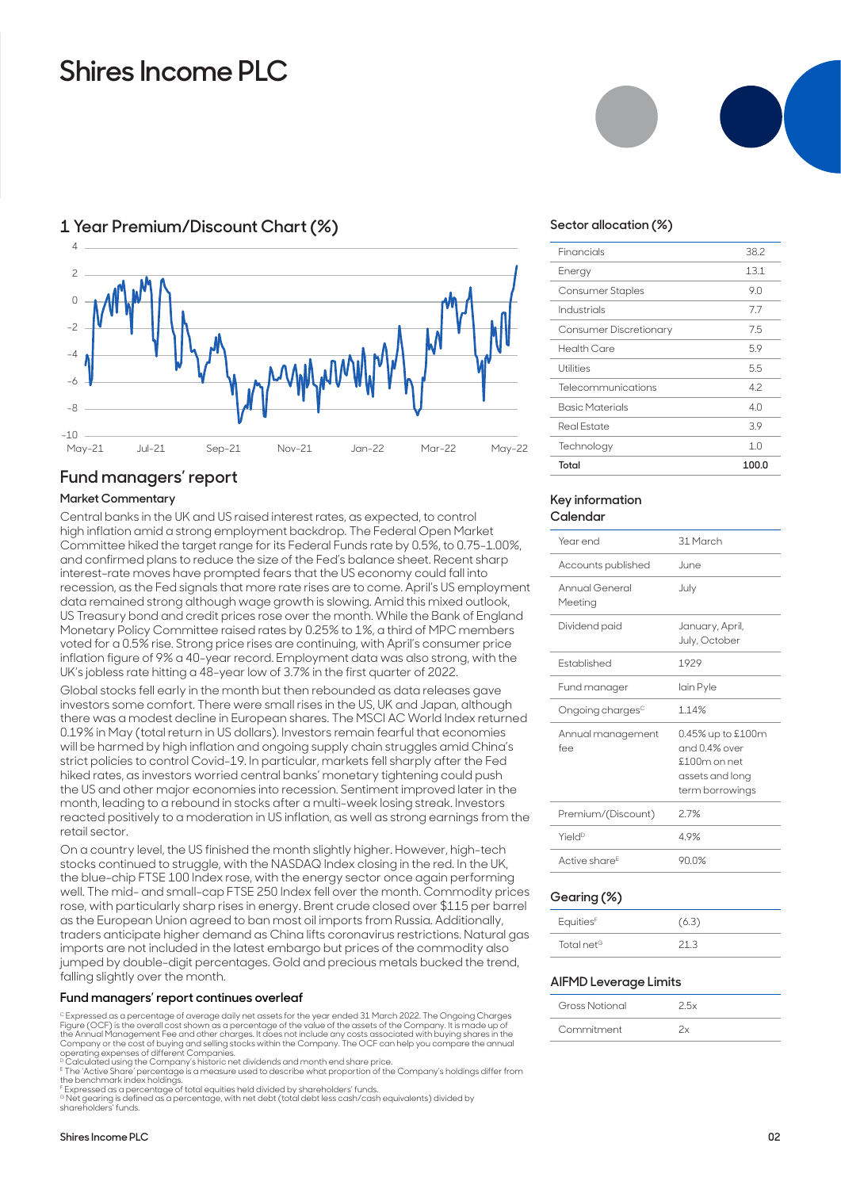## **Shires Income PLC**



### **1 Year Premium/Discount Chart (%)**

### **Fund managers' report**

#### **Market Commentary**

Central banks in the UK and US raised interest rates, as expected, to control high inflation amid a strong employment backdrop. The Federal Open Market Committee hiked the target range for its Federal Funds rate by 0.5%, to 0.75-1.00%, and confirmed plans to reduce the size of the Fed's balance sheet. Recent sharp interest-rate moves have prompted fears that the US economy could fall into recession, as the Fed signals that more rate rises are to come. April's US employment data remained strong although wage growth is slowing. Amid this mixed outlook, US Treasury bond and credit prices rose over the month. While the Bank of England Monetary Policy Committee raised rates by 0.25% to 1%, a third of MPC members voted for a 0.5% rise. Strong price rises are continuing, with April's consumer price inflation figure of 9% a 40-year record. Employment data was also strong, with the UK's jobless rate hitting a 48-year low of 3.7% in the first quarter of 2022.

Global stocks fell early in the month but then rebounded as data releases gave investors some comfort. There were small rises in the US, UK and Japan, although there was a modest decline in European shares. The MSCI AC World Index returned 0.19% in May (total return in US dollars). Investors remain fearful that economies will be harmed by high inflation and ongoing supply chain struggles amid China's strict policies to control Covid-19. In particular, markets fell sharply after the Fed hiked rates, as investors worried central banks' monetary tightening could push the US and other major economies into recession. Sentiment improved later in the month, leading to a rebound in stocks after a multi-week losing streak. Investors reacted positively to a moderation in US inflation, as well as strong earnings from the retail sector.

On a country level, the US finished the month slightly higher. However, high-tech stocks continued to struggle, with the NASDAQ Index closing in the red. In the UK, the blue-chip FTSE 100 Index rose, with the energy sector once again performing well. The mid- and small-cap FTSE 250 Index fell over the month. Commodity prices rose, with particularly sharp rises in energy. Brent crude closed over \$115 per barrel as the European Union agreed to ban most oil imports from Russia. Additionally, traders anticipate higher demand as China lifts coronavirus restrictions. Natural gas imports are not included in the latest embargo but prices of the commodity also jumped by double-digit percentages. Gold and precious metals bucked the trend, falling slightly over the month.

#### **Fund managers' report continues overleaf**

<sup>c</sup> Expressed as a percentage of average daily net assets for the year ended 31 March 2022. The Ongoing Charges<br>Figure (OCF) is the overall cost shown as a percentage of the value of the assets of the Company. It is made u Company or the cost of buying and selling stocks within the Company. The OCF can help you compare the annual<br>operating expenses of different Companies.<br>® Calculated using the Company's historic net dividends and month end

<sup>E</sup> The 'Active Share' percentage is a measure used to describe what proportion of the Company's holdings differ from<br>the benchmark index holdings.<br><sup>F</sup> Expressed as a percentage of total equities held divided by shareholde

<sup>6</sup> Net gearing is defined as a percentage, with net debt (total debt less cash/cash equivalents) divided by<br>shareholders' funds.





#### **Sector allocation (%)**

| Industrials            | 7.7   |
|------------------------|-------|
| Consumer Discretionary | 7.5   |
| Health Care            | 5.9   |
| Utilities              | 5.5   |
| Telecommunications     | 4.2   |
| <b>Basic Materials</b> | 40    |
| <b>Real Estate</b>     | 3.9   |
| Technology             | 1.0   |
| Total                  | 100.0 |

#### **Key information Calendar**

| Year end                     | 31 March                                                                                   |
|------------------------------|--------------------------------------------------------------------------------------------|
| Accounts published           | .June                                                                                      |
| Annual General<br>Meeting    | July                                                                                       |
| Dividend paid                | January, April,<br>July, October                                                           |
| <b>Fstablished</b>           | 1929                                                                                       |
| Fund manager                 | lain Pyle                                                                                  |
| Ongoing charges <sup>c</sup> | 114%                                                                                       |
| Annual management<br>fee     | 0.45% up to £100m<br>and 0.4% over<br>$£100m$ on net<br>assets and long<br>term borrowings |
| Premium/(Discount)           | 27%                                                                                        |
| Yield <sup>D</sup>           | 49%                                                                                        |
| Active share <sup>E</sup>    | 90.0%                                                                                      |
|                              |                                                                                            |

#### **Gearing (%)**

| Equities <sup>F</sup>  | (6.3) |
|------------------------|-------|
| Total net <sup>G</sup> | 21 R  |

#### **AIFMD Leverage Limits**

| Gross Notional | $\overline{2}5x$ |
|----------------|------------------|
| Commitment     |                  |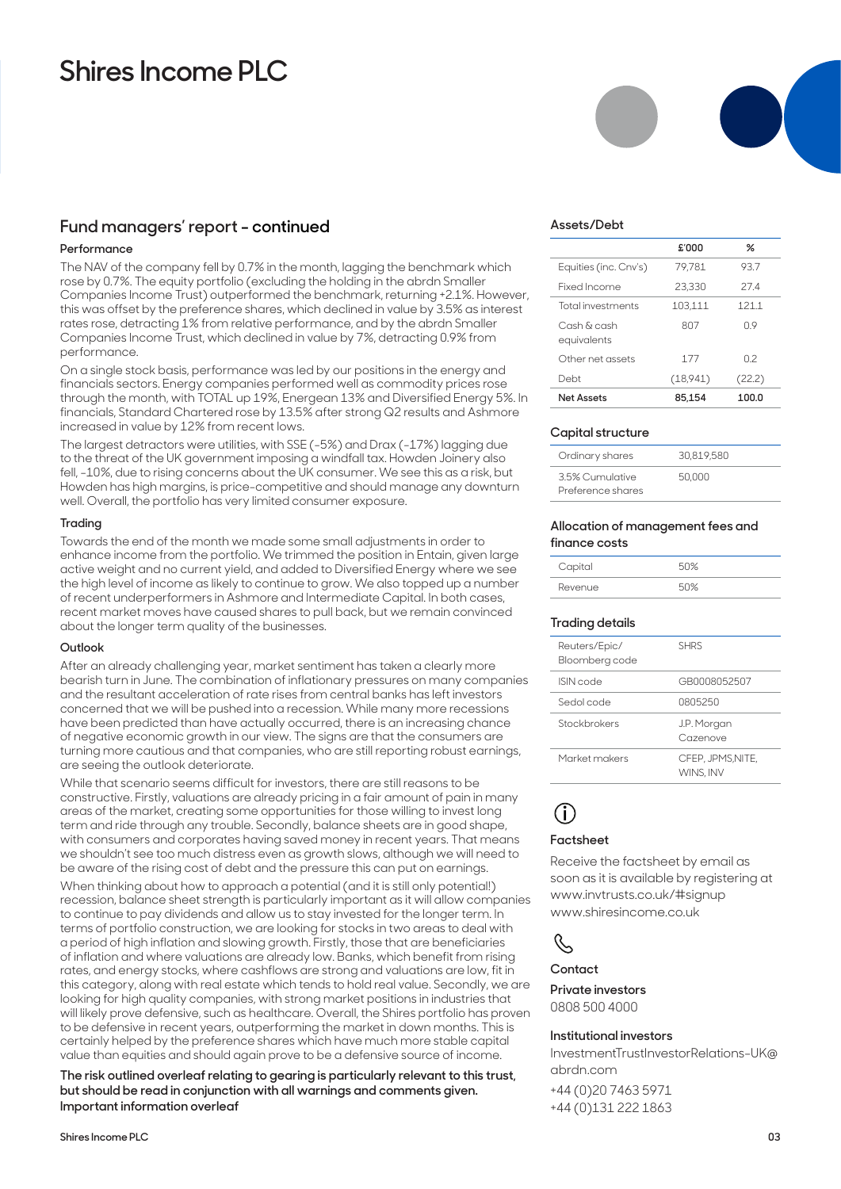## **Shires Income PLC**

### **Fund managers' report - continued**

#### **Performance**

The NAV of the company fell by 0.7% in the month, lagging the benchmark which rose by 0.7%. The equity portfolio (excluding the holding in the abrdn Smaller Companies Income Trust) outperformed the benchmark, returning +2.1%. However, this was offset by the preference shares, which declined in value by 3.5% as interest rates rose, detracting 1% from relative performance, and by the abrdn Smaller Companies Income Trust, which declined in value by 7%, detracting 0.9% from performance.

On a single stock basis, performance was led by our positions in the energy and financials sectors. Energy companies performed well as commodity prices rose through the month, with TOTAL up 19%, Energean 13% and Diversified Energy 5%. In financials, Standard Chartered rose by 13.5% after strong Q2 results and Ashmore increased in value by 12% from recent lows.

The largest detractors were utilities, with SSE (-5%) and Drax (-17%) lagging due to the threat of the UK government imposing a windfall tax. Howden Joinery also fell, -10%, due to rising concerns about the UK consumer. We see this as a risk, but Howden has high margins, is price-competitive and should manage any downturn well. Overall, the portfolio has very limited consumer exposure.

#### **Trading**

Towards the end of the month we made some small adjustments in order to enhance income from the portfolio. We trimmed the position in Entain, given large active weight and no current yield, and added to Diversified Energy where we see the high level of income as likely to continue to grow. We also topped up a number of recent underperformers in Ashmore and Intermediate Capital. In both cases, recent market moves have caused shares to pull back, but we remain convinced about the longer term quality of the businesses.

#### **Outlook**

After an already challenging year, market sentiment has taken a clearly more bearish turn in June. The combination of inflationary pressures on many companies and the resultant acceleration of rate rises from central banks has left investors concerned that we will be pushed into a recession. While many more recessions have been predicted than have actually occurred, there is an increasing chance of negative economic growth in our view. The signs are that the consumers are turning more cautious and that companies, who are still reporting robust earnings, are seeing the outlook deteriorate.

While that scenario seems difficult for investors, there are still reasons to be constructive. Firstly, valuations are already pricing in a fair amount of pain in many areas of the market, creating some opportunities for those willing to invest long term and ride through any trouble. Secondly, balance sheets are in good shape, with consumers and corporates having saved money in recent years. That means we shouldn't see too much distress even as growth slows, although we will need to be aware of the rising cost of debt and the pressure this can put on earnings.

When thinking about how to approach a potential (and it is still only potential!) recession, balance sheet strength is particularly important as it will allow companies to continue to pay dividends and allow us to stay invested for the longer term. In terms of portfolio construction, we are looking for stocks in two areas to deal with a period of high inflation and slowing growth. Firstly, those that are beneficiaries of inflation and where valuations are already low. Banks, which benefit from rising rates, and energy stocks, where cashflows are strong and valuations are low, fit in this category, along with real estate which tends to hold real value. Secondly, we are looking for high quality companies, with strong market positions in industries that will likely prove defensive, such as healthcare. Overall, the Shires portfolio has proven to be defensive in recent years, outperforming the market in down months. This is certainly helped by the preference shares which have much more stable capital value than equities and should again prove to be a defensive source of income.

**The risk outlined overleaf relating to gearing is particularly relevant to this trust, but should be read in conjunction with all warnings and comments given. Important information overleaf**



#### **Assets/Debt**

|                            | £'000    | %      |
|----------------------------|----------|--------|
| Equities (inc. Cnv's)      | 79.781   | 93.7   |
| Fixed Income               | 23,330   | 274    |
| <b>Total investments</b>   | 103.111  | 121.1  |
| Cash & cash<br>equivalents | 807      | 09     |
| Other net assets           | 177      | 02     |
| Debt                       | (18,941) | (22.2) |
| <b>Net Assets</b>          | 85.154   | 100.0  |

#### **Capital structure**

| Ordinary shares                      | 30.819.580 |
|--------------------------------------|------------|
| 3.5% Cumulative<br>Preference shares | 50,000     |

#### **Allocation of management fees and finance costs**

| Capital | 50% |
|---------|-----|
| Revenue | 50% |

#### **Trading details**

| <b>SHRS</b>                   |
|-------------------------------|
| GB0008052507                  |
| 0805250                       |
| J.P. Morgan<br>Cazenove       |
| CFEP, JPMS.NITE.<br>WINS, INV |
|                               |

## **i**

#### **Factsheet**

Receive the factsheet by email as soon as it is available by registering at www.invtrusts.co.uk/#signup www.shiresincome.co.uk

## $\mathscr{C}$

**Contact**

**Private investors** 

0808 500 4000

#### **Institutional investors**

InvestmentTrustInvestorRelations-UK@ abrdn.com

+44 (0)20 7463 5971 +44 (0)131 222 1863